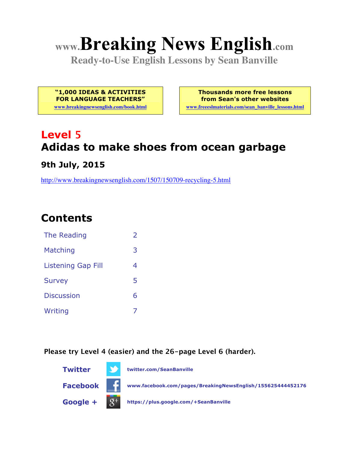# **www.Breaking News English.com**

**Ready-to-Use English Lessons by Sean Banville**

**"1,000 IDEAS & ACTIVITIES FOR LANGUAGE TEACHERS"**

**www.breakingnewsenglish.com/book.html**

**Thousands more free lessons from Sean's other websites**

**www.freeeslmaterials.com/sean\_banville\_lessons.html**

# **Level 5 Adidas to make shoes from ocean garbage**

**9th July, 2015**

http://www.breakingnewsenglish.com/1507/150709-recycling-5.html

# **Contents**

| The Reading               | $\mathcal{P}$ |
|---------------------------|---------------|
| Matching                  | 3             |
| <b>Listening Gap Fill</b> | 4             |
| <b>Survey</b>             | 5             |
| <b>Discussion</b>         | 6             |
| Writing                   |               |

**Please try Level 4 (easier) and the 26-page Level 6 (harder).**

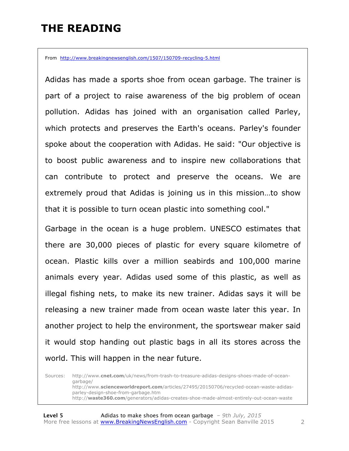### **THE READING**

From http://www.breakingnewsenglish.com/1507/150709-recycling-5.html

Adidas has made a sports shoe from ocean garbage. The trainer is part of a project to raise awareness of the big problem of ocean pollution. Adidas has joined with an organisation called Parley, which protects and preserves the Earth's oceans. Parley's founder spoke about the cooperation with Adidas. He said: "Our objective is to boost public awareness and to inspire new collaborations that can contribute to protect and preserve the oceans. We are extremely proud that Adidas is joining us in this mission…to show that it is possible to turn ocean plastic into something cool."

Garbage in the ocean is a huge problem. UNESCO estimates that there are 30,000 pieces of plastic for every square kilometre of ocean. Plastic kills over a million seabirds and 100,000 marine animals every year. Adidas used some of this plastic, as well as illegal fishing nets, to make its new trainer. Adidas says it will be releasing a new trainer made from ocean waste later this year. In another project to help the environment, the sportswear maker said it would stop handing out plastic bags in all its stores across the world. This will happen in the near future.

Sources: http://www.**cnet.com**/uk/news/from-trash-to-treasure-adidas-designs-shoes-made-of-oceangarbage/ http://www.**scienceworldreport.com**/articles/27495/20150706/recycled-ocean-waste-adidasparley-design-shoe-from-garbage.htm http://**waste360.com**/generators/adidas-creates-shoe-made-almost-entirely-out-ocean-waste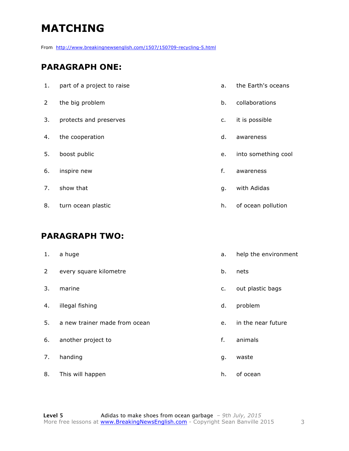# **MATCHING**

From http://www.breakingnewsenglish.com/1507/150709-recycling-5.html

#### **PARAGRAPH ONE:**

| 1. | part of a project to raise | a. | the Earth's oceans  |
|----|----------------------------|----|---------------------|
| 2  | the big problem            | b. | collaborations      |
| 3. | protects and preserves     | c. | it is possible      |
| 4. | the cooperation            | d. | awareness           |
| 5. | boost public               | e. | into something cool |
| 6. | inspire new                | f. | awareness           |
| 7. | show that                  | g. | with Adidas         |
| 8. | turn ocean plastic         | h. | of ocean pollution  |

#### **PARAGRAPH TWO:**

| 1.             | a huge                        | a. | help the environment |
|----------------|-------------------------------|----|----------------------|
| $\overline{2}$ | every square kilometre        | b. | nets                 |
| 3.             | marine                        | c. | out plastic bags     |
| 4.             | illegal fishing               | d. | problem              |
| 5.             | a new trainer made from ocean | e. | in the near future   |
| 6.             | another project to            | f. | animals              |
| 7.             | handing                       | g. | waste                |
| 8.             | This will happen              | h. | of ocean             |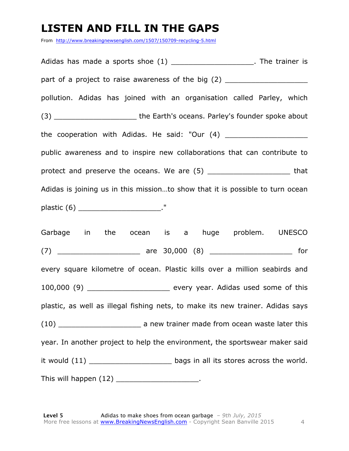## **LISTEN AND FILL IN THE GAPS**

From http://www.breakingnewsenglish.com/1507/150709-recycling-5.html

Adidas has made a sports shoe  $(1)$  \_\_\_\_\_\_\_\_\_\_\_\_\_\_\_\_\_\_\_\_\_\_. The trainer is part of a project to raise awareness of the big (2) \_\_\_\_\_\_\_\_\_\_\_\_\_\_\_\_\_\_\_\_\_\_\_\_\_\_\_\_ pollution. Adidas has joined with an organisation called Parley, which (3) The Earth's oceans. Parley's founder spoke about the cooperation with Adidas. He said: "Our  $(4)$ public awareness and to inspire new collaborations that can contribute to protect and preserve the oceans. We are (5) \_\_\_\_\_\_\_\_\_\_\_\_\_\_\_\_\_\_\_\_\_\_\_\_\_ that Adidas is joining us in this mission…to show that it is possible to turn ocean plastic  $(6)$  ." Garbage in the ocean is a huge problem. UNESCO (7) \_\_\_\_\_\_\_\_\_\_\_\_\_\_\_\_\_\_\_ are 30,000 (8) \_\_\_\_\_\_\_\_\_\_\_\_\_\_\_\_\_\_\_ for every square kilometre of ocean. Plastic kills over a million seabirds and 100,000 (9) \_\_\_\_\_\_\_\_\_\_\_\_\_\_\_\_\_\_\_ every year. Adidas used some of this plastic, as well as illegal fishing nets, to make its new trainer. Adidas says (10) \_\_\_\_\_\_\_\_\_\_\_\_\_\_\_\_\_\_\_\_\_\_\_\_\_\_ a new trainer made from ocean waste later this year. In another project to help the environment, the sportswear maker said it would (11) \_\_\_\_\_\_\_\_\_\_\_\_\_\_\_\_\_\_\_\_\_\_\_\_\_\_ bags in all its stores across the world.

This will happen (12)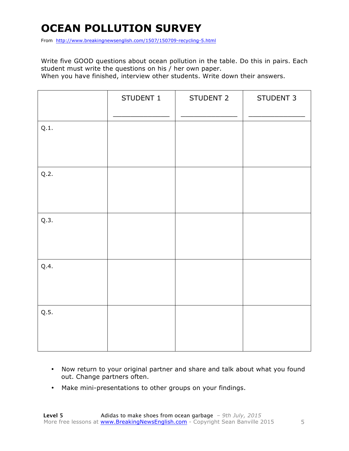# **OCEAN POLLUTION SURVEY**

From http://www.breakingnewsenglish.com/1507/150709-recycling-5.html

Write five GOOD questions about ocean pollution in the table. Do this in pairs. Each student must write the questions on his / her own paper.

When you have finished, interview other students. Write down their answers.

|      | STUDENT 1 | STUDENT 2 | STUDENT 3 |
|------|-----------|-----------|-----------|
| Q.1. |           |           |           |
| Q.2. |           |           |           |
| Q.3. |           |           |           |
| Q.4. |           |           |           |
| Q.5. |           |           |           |

- Now return to your original partner and share and talk about what you found out. Change partners often.
- Make mini-presentations to other groups on your findings.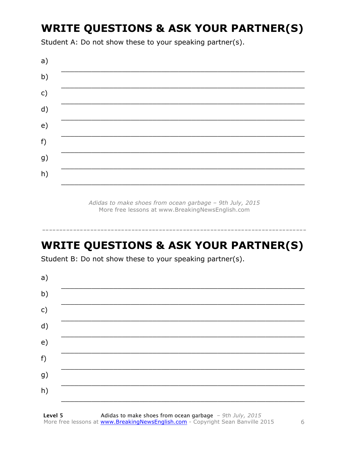# **WRITE QUESTIONS & ASK YOUR PARTNER(S)**

Student A: Do not show these to your speaking partner(s).



Adidas to make shoes from ocean garbage - 9th July, 2015 More free lessons at www.BreakingNewsEnglish.com

## **WRITE QUESTIONS & ASK YOUR PARTNER(S)**

Student B: Do not show these to your speaking partner(s).